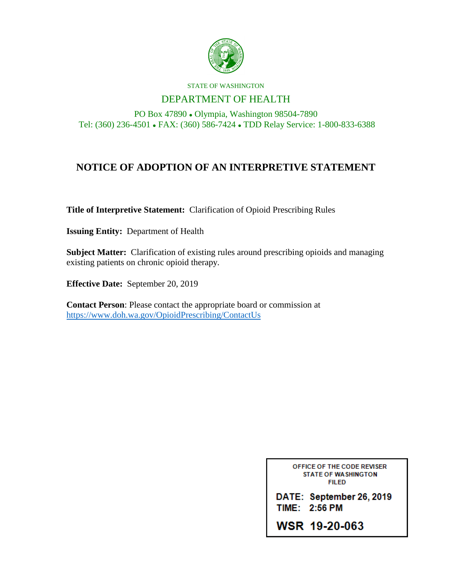

#### STATE OF WASHINGTON

## DEPARTMENT OF HEALTH

PO Box 47890 ⚫ Olympia, Washington 98504-7890 Tel: (360) 236-4501 ⚫ FAX: (360) 586-7424 ⚫ TDD Relay Service: 1-800-833-6388

# **NOTICE OF ADOPTION OF AN INTERPRETIVE STATEMENT**

**Title of Interpretive Statement:** Clarification of Opioid Prescribing Rules

**Issuing Entity:** Department of Health

**Subject Matter:** Clarification of existing rules around prescribing opioids and managing existing patients on chronic opioid therapy.

**Effective Date:** September 20, 2019

**Contact Person**: Please contact the appropriate board or commission at <https://www.doh.wa.gov/OpioidPrescribing/ContactUs>

> OFFICE OF THE CODE REVISER **STATE OF WASHINGTON FILED**

DATE: September 26, 2019 TIME: 2:56 PM

WSR 19-20-063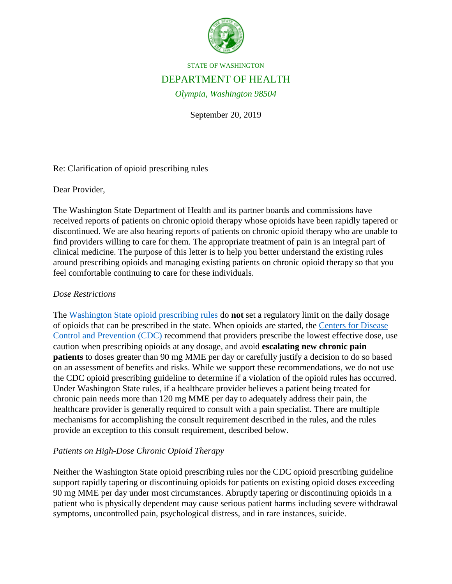

STATE OF WASHINGTON

## DEPARTMENT OF HEALTH

*Olympia, Washington 98504*

September 20, 2019

Re: Clarification of opioid prescribing rules

Dear Provider,

The Washington State Department of Health and its partner boards and commissions have received reports of patients on chronic opioid therapy whose opioids have been rapidly tapered or discontinued. We are also hearing reports of patients on chronic opioid therapy who are unable to find providers willing to care for them. The appropriate treatment of pain is an integral part of clinical medicine. The purpose of this letter is to help you better understand the existing rules around prescribing opioids and managing existing patients on chronic opioid therapy so that you feel comfortable continuing to care for these individuals.

## *Dose Restrictions*

The [Washington State opioid prescribing rules](https://www.doh.wa.gov/ForPublicHealthandHealthcareProviders/HealthcareProfessionsandFacilities/OpioidPrescribing/HealthcareProviders) do **not** set a regulatory limit on the daily dosage of opioids that can be prescribed in the state. When opioids are started, the [Centers for Disease](https://www.cdc.gov/mmwr/volumes/65/rr/rr6501e1.htm?CDC_AA_refVal=https%3A%2F%2Fwww.cdc.gov%2Fmmwr%2Fvolumes%2F65%2Frr%2Frr6501e1er.htm)  [Control and Prevention \(CDC\)](https://www.cdc.gov/mmwr/volumes/65/rr/rr6501e1.htm?CDC_AA_refVal=https%3A%2F%2Fwww.cdc.gov%2Fmmwr%2Fvolumes%2F65%2Frr%2Frr6501e1er.htm) recommend that providers prescribe the lowest effective dose, use caution when prescribing opioids at any dosage, and avoid **escalating new chronic pain patients** to doses greater than 90 mg MME per day or carefully justify a decision to do so based on an assessment of benefits and risks. While we support these recommendations, we do not use the CDC opioid prescribing guideline to determine if a violation of the opioid rules has occurred. Under Washington State rules, if a healthcare provider believes a patient being treated for chronic pain needs more than 120 mg MME per day to adequately address their pain, the healthcare provider is generally required to consult with a pain specialist. There are multiple mechanisms for accomplishing the consult requirement described in the rules, and the rules provide an exception to this consult requirement, described below.

## *Patients on High-Dose Chronic Opioid Therapy*

Neither the Washington State opioid prescribing rules nor the CDC opioid prescribing guideline support rapidly tapering or discontinuing opioids for patients on existing opioid doses exceeding 90 mg MME per day under most circumstances. Abruptly tapering or discontinuing opioids in a patient who is physically dependent may cause serious patient harms including severe withdrawal symptoms, uncontrolled pain, psychological distress, and in rare instances, suicide.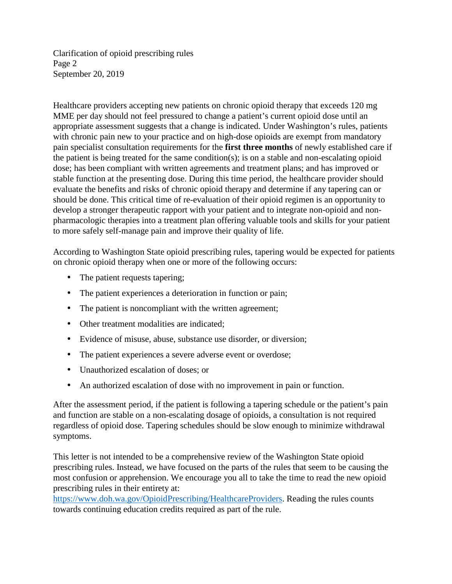Clarification of opioid prescribing rules Page 2 September 20, 2019

Healthcare providers accepting new patients on chronic opioid therapy that exceeds 120 mg MME per day should not feel pressured to change a patient's current opioid dose until an appropriate assessment suggests that a change is indicated. Under Washington's rules, patients with chronic pain new to your practice and on high-dose opioids are exempt from mandatory pain specialist consultation requirements for the **first three months** of newly established care if the patient is being treated for the same condition(s); is on a stable and non-escalating opioid dose; has been compliant with written agreements and treatment plans; and has improved or stable function at the presenting dose. During this time period, the healthcare provider should evaluate the benefits and risks of chronic opioid therapy and determine if any tapering can or should be done. This critical time of re-evaluation of their opioid regimen is an opportunity to develop a stronger therapeutic rapport with your patient and to integrate non-opioid and nonpharmacologic therapies into a treatment plan offering valuable tools and skills for your patient to more safely self-manage pain and improve their quality of life.

According to Washington State opioid prescribing rules, tapering would be expected for patients on chronic opioid therapy when one or more of the following occurs:

- The patient requests tapering;
- The patient experiences a deterioration in function or pain; ¥,
- The patient is noncompliant with the written agreement;  $\mathbf{L}$
- ä, Other treatment modalities are indicated;
- $\mathbf{r}$ Evidence of misuse, abuse, substance use disorder, or diversion;
- $\mathbf{r}^{\prime}$ The patient experiences a severe adverse event or overdose;
- $\mathcal{L}^{\pm}$ Unauthorized escalation of doses; or
- An authorized escalation of dose with no improvement in pain or function.

After the assessment period, if the patient is following a tapering schedule or the patient's pain and function are stable on a non-escalating dosage of opioids, a consultation is not required regardless of opioid dose. Tapering schedules should be slow enough to minimize withdrawal symptoms.

This letter is not intended to be a comprehensive review of the Washington State opioid prescribing rules. Instead, we have focused on the parts of the rules that seem to be causing the most confusion or apprehension. We encourage you all to take the time to read the new opioid prescribing rules in their entirety at:

[https://www.doh.wa.gov/OpioidPrescribing/HealthcareProviders.](https://www.doh.wa.gov/OpioidPrescribing/HealthcareProviders) Reading the rules counts towards continuing education credits required as part of the rule.